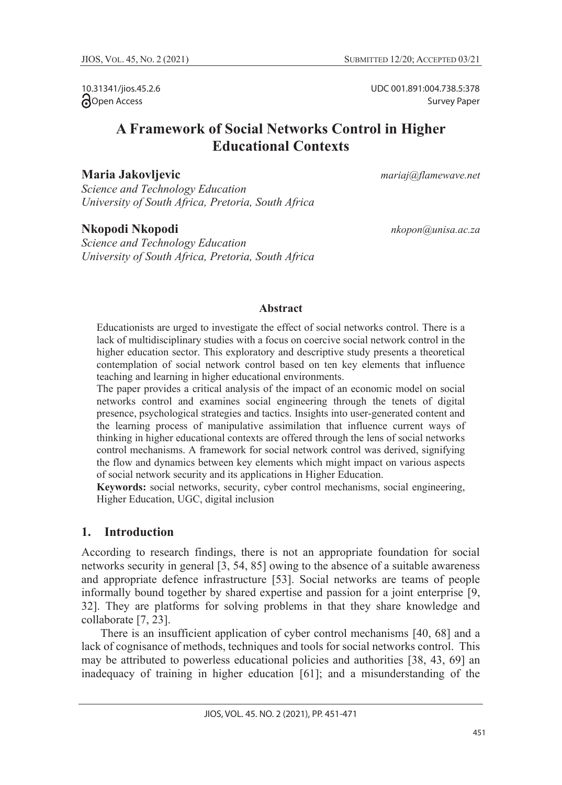10.31341/jios.45.2.6 **Open Access** 

UDC 001.891:004.738.5:378 Survey Paper

# **A Framework of Social Networks Control in Higher Educational Contexts**

#### **Maria Jakovljevic** *mariaj@flamewave.net*

*Science and Technology Education University of South Africa, Pretoria, South Africa*

#### **Nkopodi Nkopodi** *nkopon@unisa.ac.za*

*Science and Technology Education University of South Africa, Pretoria, South Africa*

#### **Abstract**

Educationists are urged to investigate the effect of social networks control. There is a lack of multidisciplinary studies with a focus on coercive social network control in the higher education sector. This exploratory and descriptive study presents a theoretical contemplation of social network control based on ten key elements that influence teaching and learning in higher educational environments.

The paper provides a critical analysis of the impact of an economic model on social networks control and examines social engineering through the tenets of digital presence, psychological strategies and tactics. Insights into user-generated content and the learning process of manipulative assimilation that influence current ways of thinking in higher educational contexts are offered through the lens of social networks control mechanisms. A framework for social network control was derived, signifying the flow and dynamics between key elements which might impact on various aspects of social network security and its applications in Higher Education.

**Keywords:** social networks, security, cyber control mechanisms, social engineering, Higher Education, UGC, digital inclusion

### **1. Introduction**

According to research findings, there is not an appropriate foundation for social networks security in general [3, 54, 85] owing to the absence of a suitable awareness and appropriate defence infrastructure [53]. Social networks are teams of people informally bound together by shared expertise and passion for a joint enterprise [9, 32]. They are platforms for solving problems in that they share knowledge and collaborate [7, 23].

There is an insufficient application of cyber control mechanisms [40, 68] and a lack of cognisance of methods, techniques and tools for social networks control. This may be attributed to powerless educational policies and authorities [38, 43, 69] an inadequacy of training in higher education [61]; and a misunderstanding of the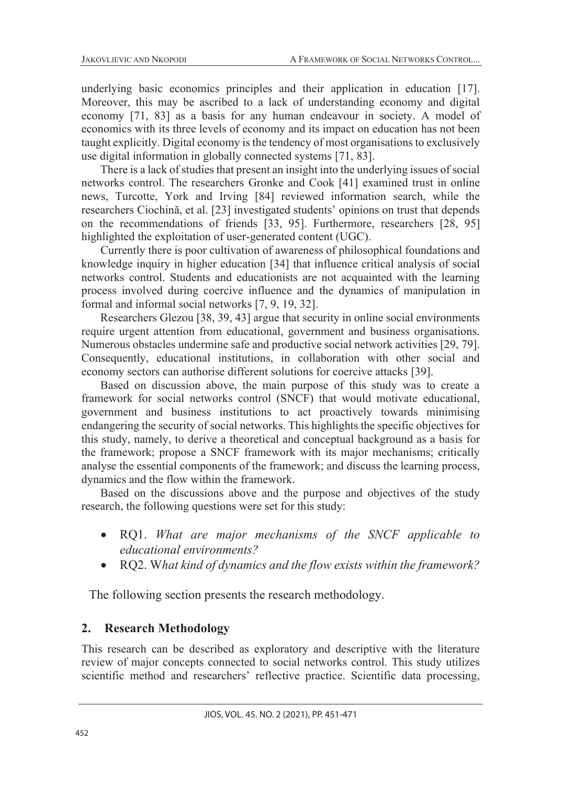underlying basic economics principles and their application in education [17]. Moreover, this may be ascribed to a lack of understanding economy and digital economy [71, 83] as a basis for any human endeavour in society. A model of economics with its three levels of economy and its impact on education has not been taught explicitly. Digital economy is the tendency of most organisations to exclusively use digital information in globally connected systems [71, 83].

There is a lack of studies that present an insight into the underlying issues of social networks control. The researchers Gronke and Cook [41] examined trust in online news, Turcotte, York and Irving [84] reviewed information search, while the researchers Ciochină, et al. [23] investigated students' opinions on trust that depends on the recommendations of friends [33, 95]. Furthermore, researchers [28, 95] highlighted the exploitation of user-generated content (UGC).

Currently there is poor cultivation of awareness of philosophical foundations and knowledge inquiry in higher education [34] that influence critical analysis of social networks control. Students and educationists are not acquainted with the learning process involved during coercive influence and the dynamics of manipulation in formal and informal social networks [7, 9, 19, 32].

Researchers Glezou [38, 39, 43] argue that security in online social environments require urgent attention from educational, government and business organisations. Numerous obstacles undermine safe and productive social network activities [29, 79]. Consequently, educational institutions, in collaboration with other social and economy sectors can authorise different solutions for coercive attacks [39].

Based on discussion above, the main purpose of this study was to create a framework for social networks control (SNCF) that would motivate educational, government and business institutions to act proactively towards minimising endangering the security of social networks. This highlights the specific objectives for this study, namely, to derive a theoretical and conceptual background as a basis for the framework; propose a SNCF framework with its major mechanisms; critically analyse the essential components of the framework; and discuss the learning process, dynamics and the flow within the framework.

Based on the discussions above and the purpose and objectives of the study research, the following questions were set for this study:

- RQ1. *What are major mechanisms of the SNCF applicable to educational environments?*
- RQ2. W*hat kind of dynamics and the flow exists within the framework?*

The following section presents the research methodology.

### **2. Research Methodology**

This research can be described as exploratory and descriptive with the literature review of major concepts connected to social networks control. This study utilizes scientific method and researchers' reflective practice. Scientific data processing,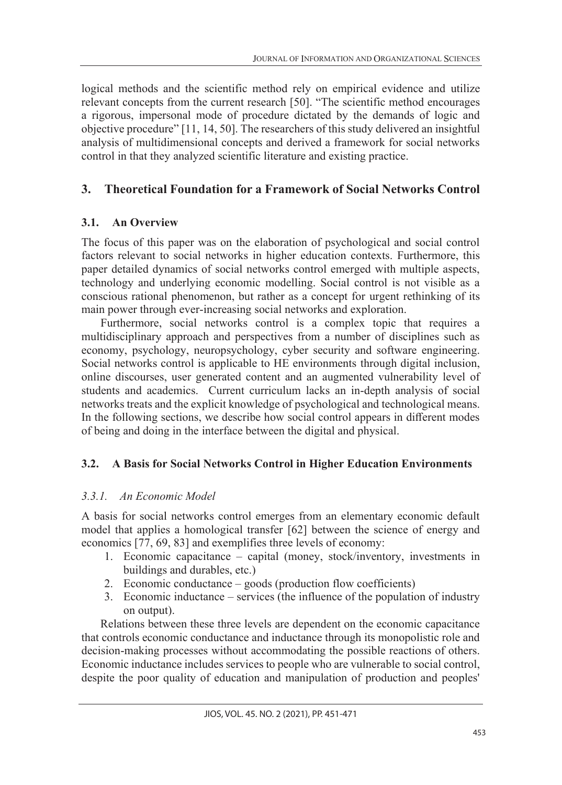logical methods and the scientific method rely on empirical evidence and utilize relevant concepts from the current research [50]. "The scientific method encourages a rigorous, impersonal mode of procedure dictated by the demands of logic and objective procedure" [11, 14, 50]. The researchers of this study delivered an insightful analysis of multidimensional concepts and derived a framework for social networks control in that they analyzed scientific literature and existing practice.

## **3. Theoretical Foundation for a Framework of Social Networks Control**

### **3.1. An Overview**

The focus of this paper was on the elaboration of psychological and social control factors relevant to social networks in higher education contexts. Furthermore, this paper detailed dynamics of social networks control emerged with multiple aspects, technology and underlying economic modelling. Social control is not visible as a conscious rational phenomenon, but rather as a concept for urgent rethinking of its main power through ever-increasing social networks and exploration.

Furthermore, social networks control is a complex topic that requires a multidisciplinary approach and perspectives from a number of disciplines such as economy, psychology, neuropsychology, cyber security and software engineering. Social networks control is applicable to HE environments through digital inclusion, online discourses, user generated content and an augmented vulnerability level of students and academics. Current curriculum lacks an in-depth analysis of social networks treats and the explicit knowledge of psychological and technological means. In the following sections, we describe how social control appears in different modes of being and doing in the interface between the digital and physical.

### **3.2. A Basis for Social Networks Control in Higher Education Environments**

### *3.3.1. An Economic Model*

A basis for social networks control emerges from an elementary economic default model that applies a homological transfer [62] between the science of energy and economics [77, 69, 83] and exemplifies three levels of economy:

- 1. Economic capacitance capital (money, stock/inventory, investments in buildings and durables, etc.)
- 2. Economic conductance goods (production flow coefficients)
- 3. Economic inductance services (the influence of the population of industry on output).

Relations between these three levels are dependent on the economic capacitance that controls economic conductance and inductance through its monopolistic role and decision-making processes without accommodating the possible reactions of others. Economic inductance includes services to people who are vulnerable to social control, despite the poor quality of education and manipulation of production and peoples'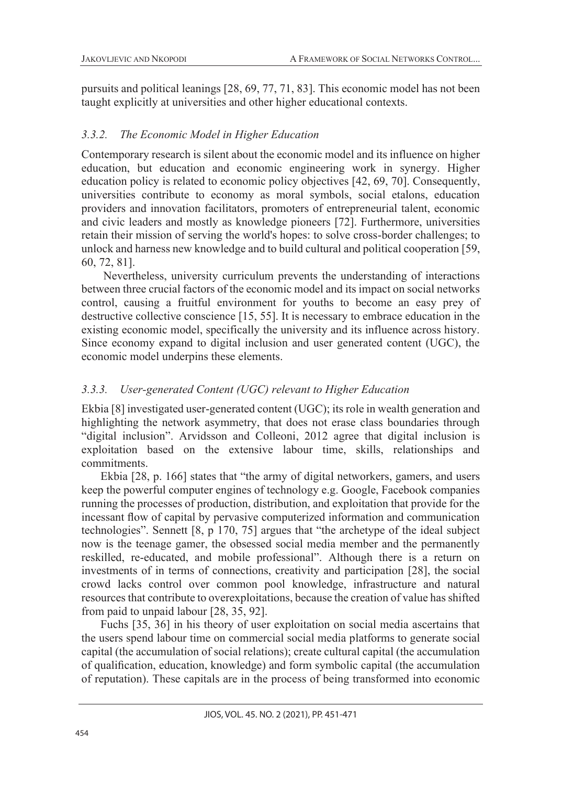pursuits and political leanings [28, 69, 77, 71, 83]. This economic model has not been taught explicitly at universities and other higher educational contexts.

### *3.3.2. The Economic Model in Higher Education*

Contemporary research is silent about the economic model and its influence on higher education, but education and economic engineering work in synergy. Higher education policy is related to economic policy objectives [42, 69, 70]. Consequently, universities contribute to economy as moral symbols, social etalons, education providers and innovation facilitators, promoters of entrepreneurial talent, economic and civic leaders and mostly as knowledge pioneers [72]. Furthermore, universities retain their mission of serving the world's hopes: to solve cross-border challenges; to unlock and harness new knowledge and to build cultural and political cooperation [59, 60, 72, 81].

Nevertheless, university curriculum prevents the understanding of interactions between three crucial factors of the economic model and its impact on social networks control, causing a fruitful environment for youths to become an easy prey of destructive collective conscience [15, 55]. It is necessary to embrace education in the existing economic model, specifically the university and its influence across history. Since economy expand to digital inclusion and user generated content (UGC), the economic model underpins these elements.

### *3.3.3. User-generated Content (UGC) relevant to Higher Education*

Ekbia [8] investigated user-generated content (UGC); its role in wealth generation and highlighting the network asymmetry, that does not erase class boundaries through "digital inclusion". Arvidsson and Colleoni, 2012 agree that digital inclusion is exploitation based on the extensive labour time, skills, relationships and commitments.

Ekbia [28, p. 166] states that "the army of digital networkers, gamers, and users keep the powerful computer engines of technology e.g. Google, Facebook companies running the processes of production, distribution, and exploitation that provide for the incessant flow of capital by pervasive computerized information and communication technologies". Sennett [8, p 170, 75] argues that "the archetype of the ideal subject now is the teenage gamer, the obsessed social media member and the permanently reskilled, re-educated, and mobile professional". Although there is a return on investments of in terms of connections, creativity and participation [28], the social crowd lacks control over common pool knowledge, infrastructure and natural resources that contribute to overexploitations, because the creation of value has shifted from paid to unpaid labour [28, 35, 92].

Fuchs [35, 36] in his theory of user exploitation on social media ascertains that the users spend labour time on commercial social media platforms to generate social capital (the accumulation of social relations); create cultural capital (the accumulation of qualification, education, knowledge) and form symbolic capital (the accumulation of reputation). These capitals are in the process of being transformed into economic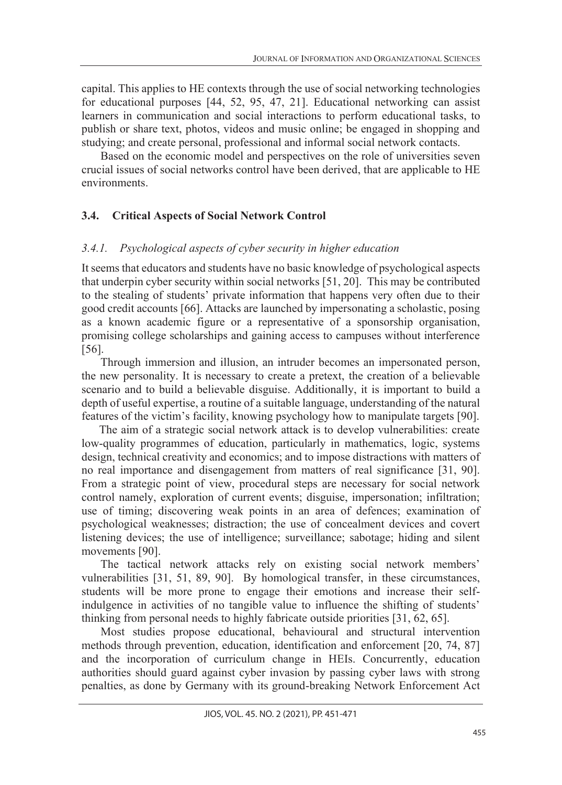capital. This applies to HE contexts through the use of social networking technologies for educational purposes [44, 52, 95, 47, 21]. Educational networking can assist learners in communication and social interactions to perform educational tasks, to publish or share text, photos, videos and music online; be engaged in shopping and studying; and create personal, professional and informal social network contacts.

Based on the economic model and perspectives on the role of universities seven crucial issues of social networks control have been derived, that are applicable to HE environments.

## **3.4. Critical Aspects of Social Network Control**

### *3.4.1. Psychological aspects of cyber security in higher education*

It seems that educators and students have no basic knowledge of psychological aspects that underpin cyber security within social networks [51, 20]. This may be contributed to the stealing of students' private information that happens very often due to their good credit accounts [66]. Attacks are launched by impersonating a scholastic, posing as a known academic figure or a representative of a sponsorship organisation, promising college scholarships and gaining access to campuses without interference [56].

Through immersion and illusion, an intruder becomes an impersonated person, the new personality. It is necessary to create a pretext, the creation of a believable scenario and to build a believable disguise. Additionally, it is important to build a depth of useful expertise, a routine of a suitable language, understanding of the natural features of the victim's facility, knowing psychology how to manipulate targets [90].

 The aim of a strategic social network attack is to develop vulnerabilities: create low-quality programmes of education, particularly in mathematics, logic, systems design, technical creativity and economics; and to impose distractions with matters of no real importance and disengagement from matters of real significance [31, 90]. From a strategic point of view, procedural steps are necessary for social network control namely, exploration of current events; disguise, impersonation; infiltration; use of timing; discovering weak points in an area of defences; examination of psychological weaknesses; distraction; the use of concealment devices and covert listening devices; the use of intelligence; surveillance; sabotage; hiding and silent movements [90].

The tactical network attacks rely on existing social network members' vulnerabilities [31, 51, 89, 90]. By homological transfer, in these circumstances, students will be more prone to engage their emotions and increase their selfindulgence in activities of no tangible value to influence the shifting of students' thinking from personal needs to highly fabricate outside priorities [31, 62, 65].

Most studies propose educational, behavioural and structural intervention methods through prevention, education, identification and enforcement [20, 74, 87] and the incorporation of curriculum change in HEIs. Concurrently, education authorities should guard against cyber invasion by passing cyber laws with strong penalties, as done by Germany with its ground-breaking Network Enforcement Act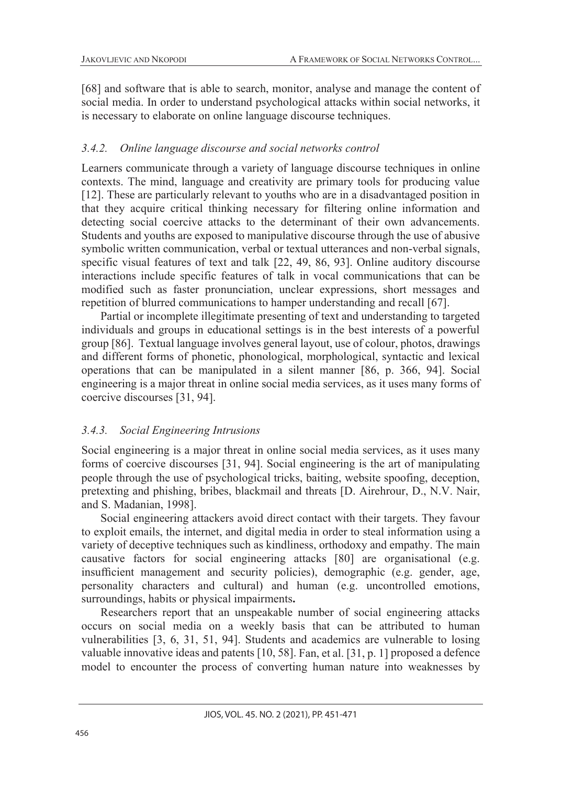[68] and software that is able to search, monitor, analyse and manage the content of social media. In order to understand psychological attacks within social networks, it is necessary to elaborate on online language discourse techniques.

#### *3.4.2. Online language discourse and social networks control*

Learners communicate through a variety of language discourse techniques in online contexts. The mind, language and creativity are primary tools for producing value [12]. These are particularly relevant to youths who are in a disadvantaged position in that they acquire critical thinking necessary for filtering online information and detecting social coercive attacks to the determinant of their own advancements. Students and youths are exposed to manipulative discourse through the use of abusive symbolic written communication, verbal or textual utterances and non-verbal signals, specific visual features of text and talk [22, 49, 86, 93]. Online auditory discourse interactions include specific features of talk in vocal communications that can be modified such as faster pronunciation, unclear expressions, short messages and repetition of blurred communications to hamper understanding and recall [67].

Partial or incomplete illegitimate presenting of text and understanding to targeted individuals and groups in educational settings is in the best interests of a powerful group [86]. Textual language involves general layout, use of colour, photos, drawings and different forms of phonetic, phonological, morphological, syntactic and lexical operations that can be manipulated in a silent manner [86, p. 366, 94]. Social engineering is a major threat in online social media services, as it uses many forms of coercive discourses [31, 94].

#### *3.4.3. Social Engineering Intrusions*

Social engineering is a major threat in online social media services, as it uses many forms of coercive discourses [31, 94]. Social engineering is the art of manipulating people through the use of psychological tricks, baiting, website spoofing, deception, pretexting and phishing, bribes, blackmail and threats [D. Airehrour, D., N.V. Nair, and S. Madanian, 1998].

Social engineering attackers avoid direct contact with their targets. They favour to exploit emails, the internet, and digital media in order to steal information using a variety of deceptive techniques such as kindliness, orthodoxy and empathy. The main causative factors for social engineering attacks [80] are organisational (e.g. insufficient management and security policies), demographic (e.g. gender, age, personality characters and cultural) and human (e.g. uncontrolled emotions, surroundings, habits or physical impairments**.**

Researchers report that an unspeakable number of social engineering attacks occurs on social media on a weekly basis that can be attributed to human vulnerabilities [3, 6, 31, 51, 94]. Students and academics are vulnerable to losing valuable innovative ideas and patents [10, 58]. Fan, et al. [31, p. 1] proposed a defence model to encounter the process of converting human nature into weaknesses by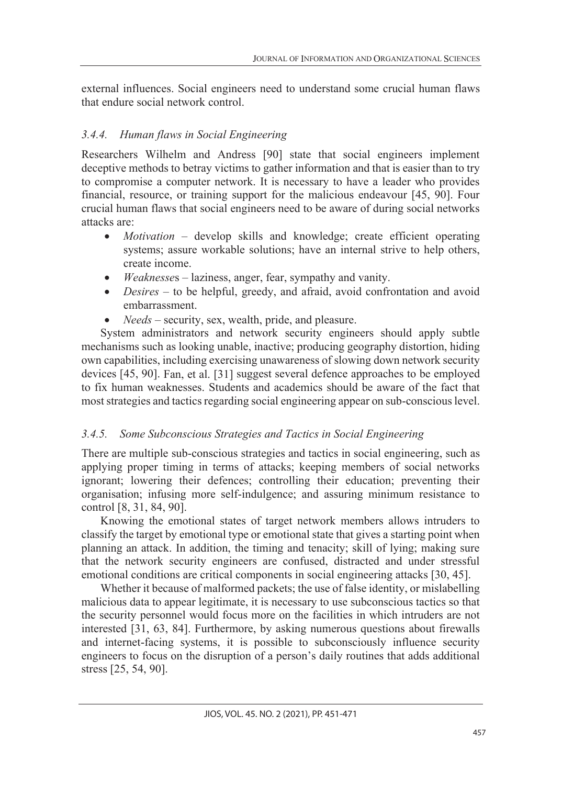external influences. Social engineers need to understand some crucial human flaws that endure social network control.

## *3.4.4. Human flaws in Social Engineering*

Researchers Wilhelm and Andress [90] state that social engineers implement deceptive methods to betray victims to gather information and that is easier than to try to compromise a computer network. It is necessary to have a leader who provides financial, resource, or training support for the malicious endeavour [45, 90]. Four crucial human flaws that social engineers need to be aware of during social networks attacks are:

- *Motivation* develop skills and knowledge; create efficient operating systems; assure workable solutions; have an internal strive to help others, create income.
- *Weaknesse*s laziness, anger, fear, sympathy and vanity.
- *Desires* to be helpful, greedy, and afraid, avoid confrontation and avoid embarrassment.
- *Needs* security, sex, wealth, pride, and pleasure.

System administrators and network security engineers should apply subtle mechanisms such as looking unable, inactive; producing geography distortion, hiding own capabilities, including exercising unawareness of slowing down network security devices [45, 90]. Fan, et al. [31] suggest several defence approaches to be employed to fix human weaknesses. Students and academics should be aware of the fact that most strategies and tactics regarding social engineering appear on sub-conscious level.

## *3.4.5. Some Subconscious Strategies and Tactics in Social Engineering*

There are multiple sub-conscious strategies and tactics in social engineering, such as applying proper timing in terms of attacks; keeping members of social networks ignorant; lowering their defences; controlling their education; preventing their organisation; infusing more self-indulgence; and assuring minimum resistance to control [8, 31, 84, 90].

Knowing the emotional states of target network members allows intruders to classify the target by emotional type or emotional state that gives a starting point when planning an attack. In addition, the timing and tenacity; skill of lying; making sure that the network security engineers are confused, distracted and under stressful emotional conditions are critical components in social engineering attacks [30, 45].

Whether it because of malformed packets; the use of false identity, or mislabelling malicious data to appear legitimate, it is necessary to use subconscious tactics so that the security personnel would focus more on the facilities in which intruders are not interested [31, 63, 84]. Furthermore, by asking numerous questions about firewalls and internet-facing systems, it is possible to subconsciously influence security engineers to focus on the disruption of a person's daily routines that adds additional stress [25, 54, 90].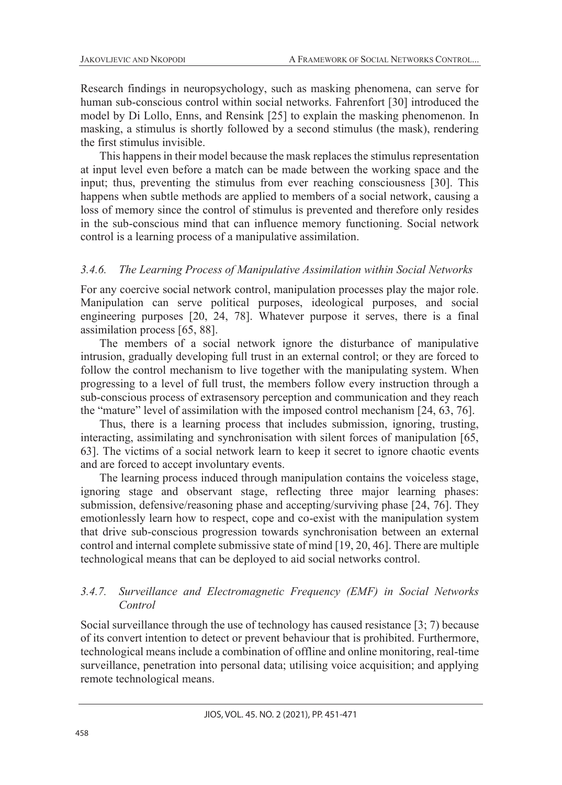Research findings in neuropsychology, such as masking phenomena, can serve for human sub-conscious control within social networks. Fahrenfort [30] introduced the model by Di Lollo, Enns, and Rensink [25] to explain the masking phenomenon. In masking, a stimulus is shortly followed by a second stimulus (the mask), rendering the first stimulus invisible.

This happens in their model because the mask replaces the stimulus representation at input level even before a match can be made between the working space and the input; thus, preventing the stimulus from ever reaching consciousness [30]. This happens when subtle methods are applied to members of a social network, causing a loss of memory since the control of stimulus is prevented and therefore only resides in the sub-conscious mind that can influence memory functioning. Social network control is a learning process of a manipulative assimilation.

#### *3.4.6. The Learning Process of Manipulative Assimilation within Social Networks*

For any coercive social network control, manipulation processes play the major role. Manipulation can serve political purposes, ideological purposes, and social engineering purposes [20, 24, 78]. Whatever purpose it serves, there is a final assimilation process [65, 88].

The members of a social network ignore the disturbance of manipulative intrusion, gradually developing full trust in an external control; or they are forced to follow the control mechanism to live together with the manipulating system. When progressing to a level of full trust, the members follow every instruction through a sub-conscious process of extrasensory perception and communication and they reach the "mature" level of assimilation with the imposed control mechanism [24, 63, 76].

Thus, there is a learning process that includes submission, ignoring, trusting, interacting, assimilating and synchronisation with silent forces of manipulation [65, 63]. The victims of a social network learn to keep it secret to ignore chaotic events and are forced to accept involuntary events.

The learning process induced through manipulation contains the voiceless stage, ignoring stage and observant stage, reflecting three major learning phases: submission, defensive/reasoning phase and accepting/surviving phase [24, 76]. They emotionlessly learn how to respect, cope and co-exist with the manipulation system that drive sub-conscious progression towards synchronisation between an external control and internal complete submissive state of mind [19, 20, 46]. There are multiple technological means that can be deployed to aid social networks control.

#### *3.4.7. Surveillance and Electromagnetic Frequency (EMF) in Social Networks Control*

Social surveillance through the use of technology has caused resistance [3; 7) because of its convert intention to detect or prevent behaviour that is prohibited. Furthermore, technological means include a combination of offline and online monitoring, real-time surveillance, penetration into personal data; utilising voice acquisition; and applying remote technological means.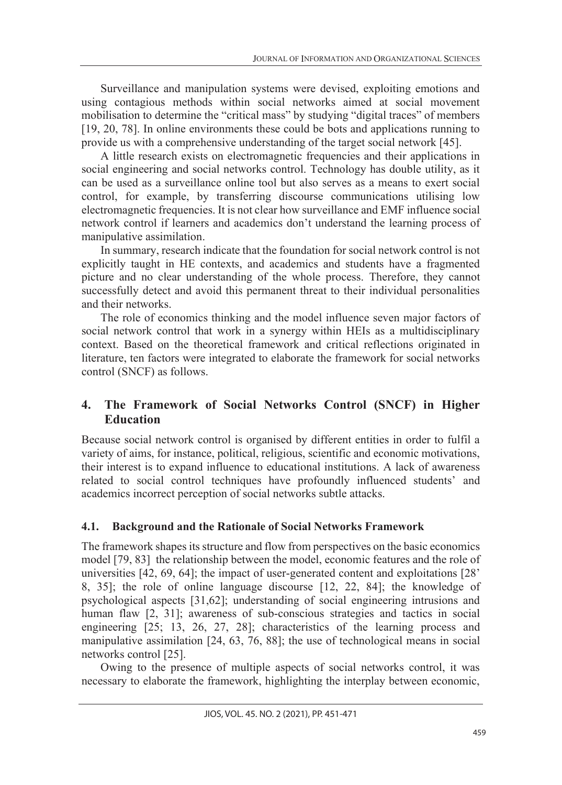Surveillance and manipulation systems were devised, exploiting emotions and using contagious methods within social networks aimed at social movement mobilisation to determine the "critical mass" by studying "digital traces" of members [19, 20, 78]. In online environments these could be bots and applications running to provide us with a comprehensive understanding of the target social network [45].

A little research exists on electromagnetic frequencies and their applications in social engineering and social networks control. Technology has double utility, as it can be used as a surveillance online tool but also serves as a means to exert social control, for example, by transferring discourse communications utilising low electromagnetic frequencies. It is not clear how surveillance and EMF influence social network control if learners and academics don't understand the learning process of manipulative assimilation.

In summary, research indicate that the foundation for social network control is not explicitly taught in HE contexts, and academics and students have a fragmented picture and no clear understanding of the whole process. Therefore, they cannot successfully detect and avoid this permanent threat to their individual personalities and their networks.

The role of economics thinking and the model influence seven major factors of social network control that work in a synergy within HEIs as a multidisciplinary context. Based on the theoretical framework and critical reflections originated in literature, ten factors were integrated to elaborate the framework for social networks control (SNCF) as follows.

## **4. The Framework of Social Networks Control (SNCF) in Higher Education**

Because social network control is organised by different entities in order to fulfil a variety of aims, for instance, political, religious, scientific and economic motivations, their interest is to expand influence to educational institutions. A lack of awareness related to social control techniques have profoundly influenced students' and academics incorrect perception of social networks subtle attacks.

### **4.1. Background and the Rationale of Social Networks Framework**

The framework shapes its structure and flow from perspectives on the basic economics model [79, 83] the relationship between the model, economic features and the role of universities [42, 69, 64]; the impact of user-generated content and exploitations [28' 8, 35]; the role of online language discourse [12, 22, 84]; the knowledge of psychological aspects [31,62]; understanding of social engineering intrusions and human flaw [2, 31]; awareness of sub-conscious strategies and tactics in social engineering [25; 13, 26, 27, 28]; characteristics of the learning process and manipulative assimilation [24, 63, 76, 88]; the use of technological means in social networks control [25].

Owing to the presence of multiple aspects of social networks control, it was necessary to elaborate the framework, highlighting the interplay between economic,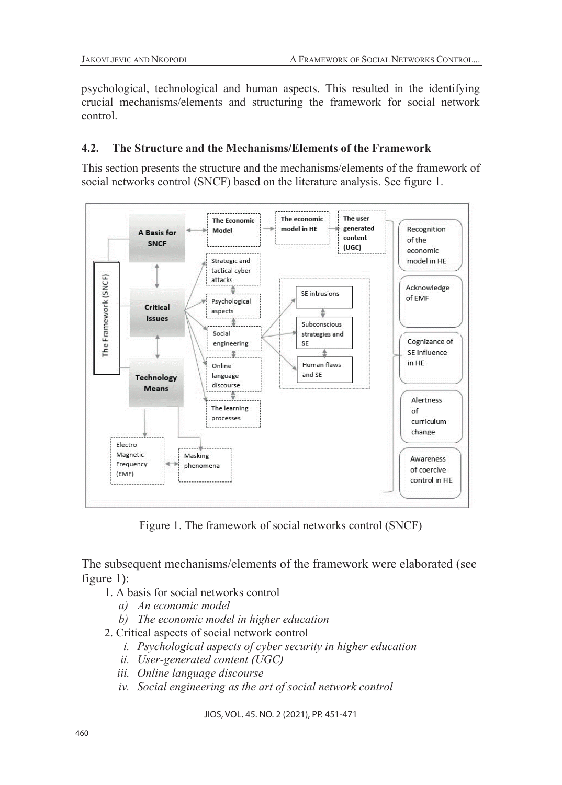psychological, technological and human aspects. This resulted in the identifying crucial mechanisms/elements and structuring the framework for social network control.

### **4.2. The Structure and the Mechanisms/Elements of the Framework**

This section presents the structure and the mechanisms/elements of the framework of social networks control (SNCF) based on the literature analysis. See figure 1.



Figure 1. The framework of social networks control (SNCF)

The subsequent mechanisms/elements of the framework were elaborated (see figure 1):

- 1. A basis for social networks control
	- *a) An economic model*
	- *b) The economic model in higher education*
- 2. Critical aspects of social network control
	- *i. Psychological aspects of cyber security in higher education*
	- *ii. User-generated content (UGC)*
	- *iii. Online language discourse*
	- *iv. Social engineering as the art of social network control*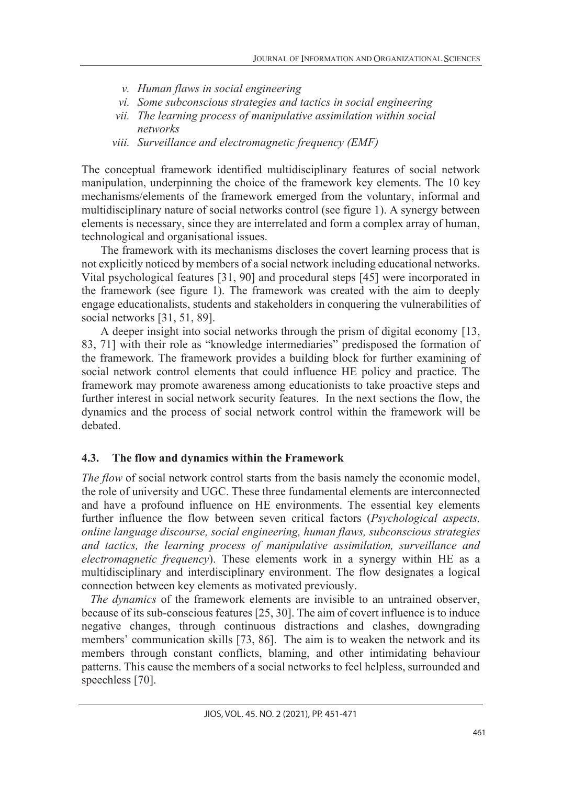- *v. Human flaws in social engineering*
- *vi. Some subconscious strategies and tactics in social engineering*
- *vii. The learning process of manipulative assimilation within social networks*
- *viii. Surveillance and electromagnetic frequency (EMF)*

The conceptual framework identified multidisciplinary features of social network manipulation, underpinning the choice of the framework key elements. The 10 key mechanisms/elements of the framework emerged from the voluntary, informal and multidisciplinary nature of social networks control (see figure 1). A synergy between elements is necessary, since they are interrelated and form a complex array of human, technological and organisational issues.

The framework with its mechanisms discloses the covert learning process that is not explicitly noticed by members of a social network including educational networks. Vital psychological features [31, 90] and procedural steps [45] were incorporated in the framework (see figure 1). The framework was created with the aim to deeply engage educationalists, students and stakeholders in conquering the vulnerabilities of social networks [31, 51, 89].

A deeper insight into social networks through the prism of digital economy [13, 83, 71] with their role as "knowledge intermediaries" predisposed the formation of the framework. The framework provides a building block for further examining of social network control elements that could influence HE policy and practice. The framework may promote awareness among educationists to take proactive steps and further interest in social network security features. In the next sections the flow, the dynamics and the process of social network control within the framework will be debated.

### **4.3. The flow and dynamics within the Framework**

*The flow* of social network control starts from the basis namely the economic model, the role of university and UGC. These three fundamental elements are interconnected and have a profound influence on HE environments. The essential key elements further influence the flow between seven critical factors (*Psychological aspects, online language discourse, social engineering, human flaws, subconscious strategies and tactics, the learning process of manipulative assimilation, surveillance and electromagnetic frequency*). These elements work in a synergy within HE as a multidisciplinary and interdisciplinary environment. The flow designates a logical connection between key elements as motivated previously.

 *The dynamics* of the framework elements are invisible to an untrained observer, because of its sub-conscious features [25, 30]. The aim of covert influence is to induce negative changes, through continuous distractions and clashes, downgrading members' communication skills [73, 86]. The aim is to weaken the network and its members through constant conflicts, blaming, and other intimidating behaviour patterns. This cause the members of a social networks to feel helpless, surrounded and speechless [70].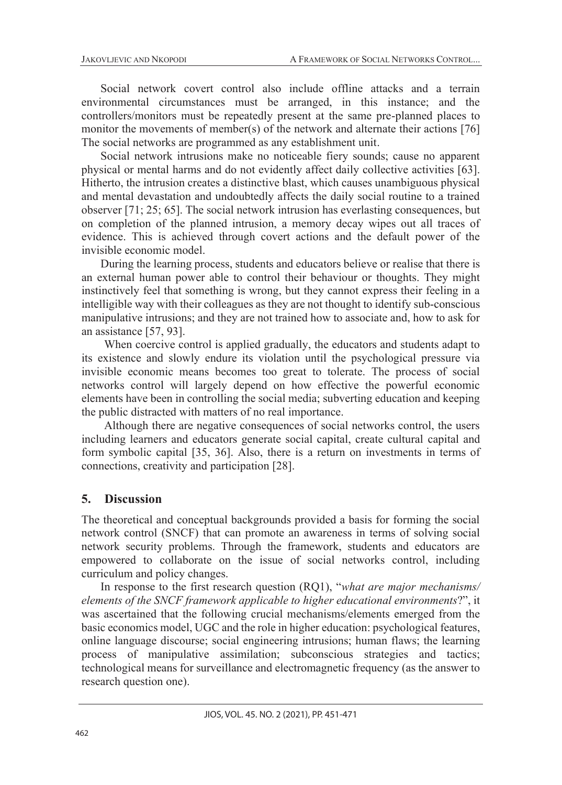Social network covert control also include offline attacks and a terrain environmental circumstances must be arranged, in this instance; and the controllers/monitors must be repeatedly present at the same pre-planned places to monitor the movements of member(s) of the network and alternate their actions [76] The social networks are programmed as any establishment unit.

Social network intrusions make no noticeable fiery sounds; cause no apparent physical or mental harms and do not evidently affect daily collective activities [63]. Hitherto, the intrusion creates a distinctive blast, which causes unambiguous physical and mental devastation and undoubtedly affects the daily social routine to a trained observer [71; 25; 65]. The social network intrusion has everlasting consequences, but on completion of the planned intrusion, a memory decay wipes out all traces of evidence. This is achieved through covert actions and the default power of the invisible economic model.

During the learning process, students and educators believe or realise that there is an external human power able to control their behaviour or thoughts. They might instinctively feel that something is wrong, but they cannot express their feeling in a intelligible way with their colleagues as they are not thought to identify sub-conscious manipulative intrusions; and they are not trained how to associate and, how to ask for an assistance [57, 93].

When coercive control is applied gradually, the educators and students adapt to its existence and slowly endure its violation until the psychological pressure via invisible economic means becomes too great to tolerate. The process of social networks control will largely depend on how effective the powerful economic elements have been in controlling the social media; subverting education and keeping the public distracted with matters of no real importance.

Although there are negative consequences of social networks control, the users including learners and educators generate social capital, create cultural capital and form symbolic capital [35, 36]. Also, there is a return on investments in terms of connections, creativity and participation [28].

#### **5. Discussion**

The theoretical and conceptual backgrounds provided a basis for forming the social network control (SNCF) that can promote an awareness in terms of solving social network security problems. Through the framework, students and educators are empowered to collaborate on the issue of social networks control, including curriculum and policy changes.

In response to the first research question (RQ1), "*what are major mechanisms/ elements of the SNCF framework applicable to higher educational environments*?", it was ascertained that the following crucial mechanisms/elements emerged from the basic economics model, UGC and the role in higher education: psychological features, online language discourse; social engineering intrusions; human flaws; the learning process of manipulative assimilation; subconscious strategies and tactics; technological means for surveillance and electromagnetic frequency (as the answer to research question one).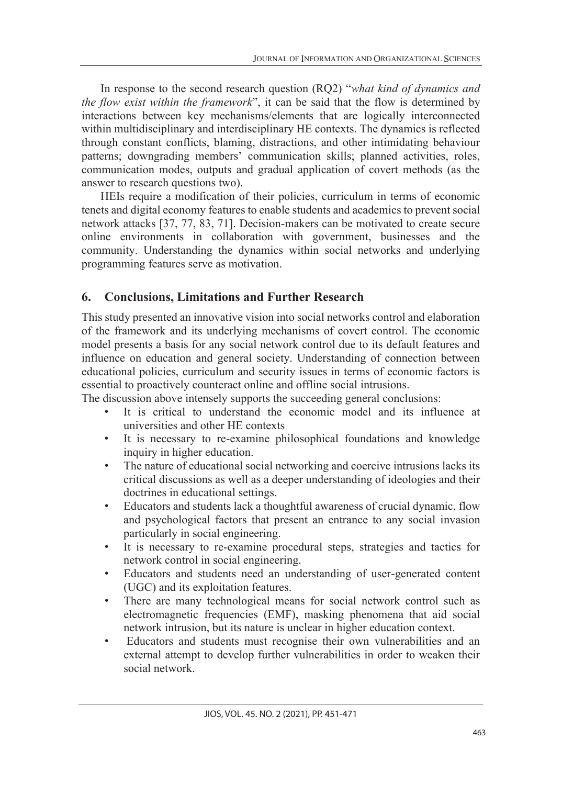In response to the second research question (RQ2) "*what kind of dynamics and the flow exist within the framework*", it can be said that the flow is determined by interactions between key mechanisms/elements that are logically interconnected within multidisciplinary and interdisciplinary HE contexts. The dynamics is reflected through constant conflicts, blaming, distractions, and other intimidating behaviour patterns; downgrading members' communication skills; planned activities, roles, communication modes, outputs and gradual application of covert methods (as the answer to research questions two).

HEIs require a modification of their policies, curriculum in terms of economic tenets and digital economy features to enable students and academics to prevent social network attacks [37, 77, 83, 71]. Decision-makers can be motivated to create secure online environments in collaboration with government, businesses and the community. Understanding the dynamics within social networks and underlying programming features serve as motivation.

## **6. Conclusions, Limitations and Further Research**

This study presented an innovative vision into social networks control and elaboration of the framework and its underlying mechanisms of covert control. The economic model presents a basis for any social network control due to its default features and influence on education and general society. Understanding of connection between educational policies, curriculum and security issues in terms of economic factors is essential to proactively counteract online and offline social intrusions.

The discussion above intensely supports the succeeding general conclusions:

- It is critical to understand the economic model and its influence at universities and other HE contexts
- It is necessary to re-examine philosophical foundations and knowledge inquiry in higher education.
- The nature of educational social networking and coercive intrusions lacks its critical discussions as well as a deeper understanding of ideologies and their doctrines in educational settings.
- Educators and students lack a thoughtful awareness of crucial dynamic, flow and psychological factors that present an entrance to any social invasion particularly in social engineering.
- It is necessary to re-examine procedural steps, strategies and tactics for network control in social engineering.
- Educators and students need an understanding of user-generated content (UGC) and its exploitation features.
- There are many technological means for social network control such as electromagnetic frequencies (EMF), masking phenomena that aid social network intrusion, but its nature is unclear in higher education context.
- Educators and students must recognise their own vulnerabilities and an external attempt to develop further vulnerabilities in order to weaken their social network.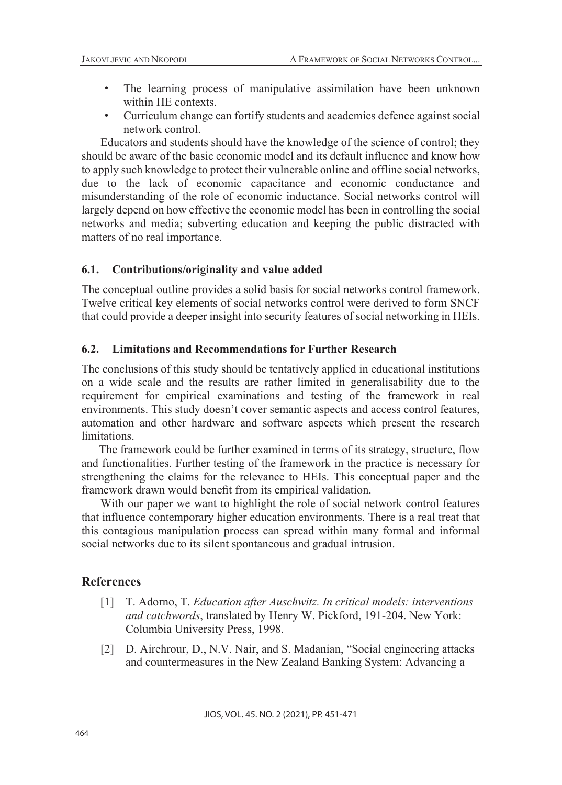- The learning process of manipulative assimilation have been unknown within HE contexts.
- Curriculum change can fortify students and academics defence against social network control.

Educators and students should have the knowledge of the science of control; they should be aware of the basic economic model and its default influence and know how to apply such knowledge to protect their vulnerable online and offline social networks, due to the lack of economic capacitance and economic conductance and misunderstanding of the role of economic inductance. Social networks control will largely depend on how effective the economic model has been in controlling the social networks and media; subverting education and keeping the public distracted with matters of no real importance.

#### **6.1. Contributions/originality and value added**

The conceptual outline provides a solid basis for social networks control framework. Twelve critical key elements of social networks control were derived to form SNCF that could provide a deeper insight into security features of social networking in HEIs.

#### **6.2. Limitations and Recommendations for Further Research**

The conclusions of this study should be tentatively applied in educational institutions on a wide scale and the results are rather limited in generalisability due to the requirement for empirical examinations and testing of the framework in real environments. This study doesn't cover semantic aspects and access control features, automation and other hardware and software aspects which present the research limitations.

 The framework could be further examined in terms of its strategy, structure, flow and functionalities. Further testing of the framework in the practice is necessary for strengthening the claims for the relevance to HEIs. This conceptual paper and the framework drawn would benefit from its empirical validation.

With our paper we want to highlight the role of social network control features that influence contemporary higher education environments. There is a real treat that this contagious manipulation process can spread within many formal and informal social networks due to its silent spontaneous and gradual intrusion.

#### **References**

- [1] T. Adorno, T. *Education after Auschwitz. In critical models: interventions and catchwords*, translated by Henry W. Pickford, 191-204. New York: Columbia University Press, 1998.
- [2] D. Airehrour, D., N.V. Nair, and S. Madanian, "Social engineering attacks and countermeasures in the New Zealand Banking System: Advancing a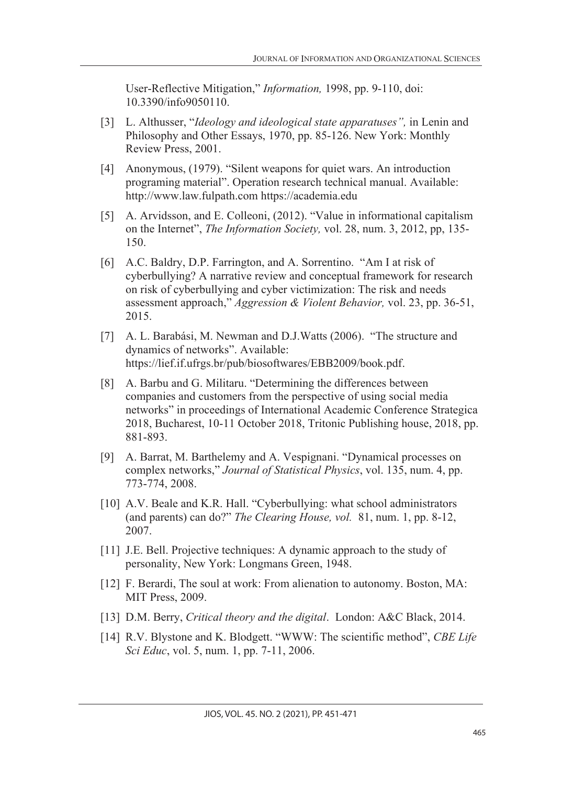User-Reflective Mitigation," *Information,* 1998, pp. 9-110, doi: 10.3390/info9050110.

- [3] L. Althusser, "*Ideology and ideological state apparatuses",* in Lenin and Philosophy and Other Essays, 1970, pp. 85-126. New York: Monthly Review Press, 2001.
- [4] Anonymous, (1979). "Silent weapons for quiet wars. An introduction programing material". Operation research technical manual. Available: http://www.law.fulpath.com https://academia.edu
- [5] A. Arvidsson, and E. Colleoni, (2012). "Value in informational capitalism on the Internet", *The Information Society,* vol. 28, num. 3, 2012, pp, 135- 150.
- [6] A.C. Baldry, D.P. Farrington, and A. Sorrentino. "Am I at risk of cyberbullying? A narrative review and conceptual framework for research on risk of cyberbullying and cyber victimization: The risk and needs assessment approach," *Aggression & Violent Behavior,* vol. 23, pp. 36-51, 2015.
- [7] A. L. Barabási, M. Newman and D.J. Watts (2006). "The structure and dynamics of networks". Available: https://lief.if.ufrgs.br/pub/biosoftwares/EBB2009/book.pdf.
- [8] A. Barbu and G. Militaru. "Determining the differences between companies and customers from the perspective of using social media networks" in proceedings of International Academic Conference Strategica 2018, Bucharest, 10-11 October 2018, Tritonic Publishing house, 2018, pp. 881-893.
- [9] A. Barrat, M. Barthelemy and A. Vespignani. "Dynamical processes on complex networks," *Journal of Statistical Physics*, vol. 135, num. 4, pp. 773-774, 2008.
- [10] A.V. Beale and K.R. Hall. "Cyberbullying: what school administrators" (and parents) can do?" *The Clearing House, vol.* 81, num. 1, pp. 8-12, 2007.
- [11] J.E. Bell. Projective techniques: A dynamic approach to the study of personality, New York: Longmans Green, 1948.
- [12] F. Berardi, The soul at work: From alienation to autonomy. Boston, MA: MIT Press, 2009.
- [13] D.M. Berry, *Critical theory and the digital*. London: A&C Black, 2014.
- [14] R.V. Blystone and K. Blodgett. "WWW: The scientific method", *CBE Life Sci Educ*, vol. 5, num. 1, pp. 7-11, 2006.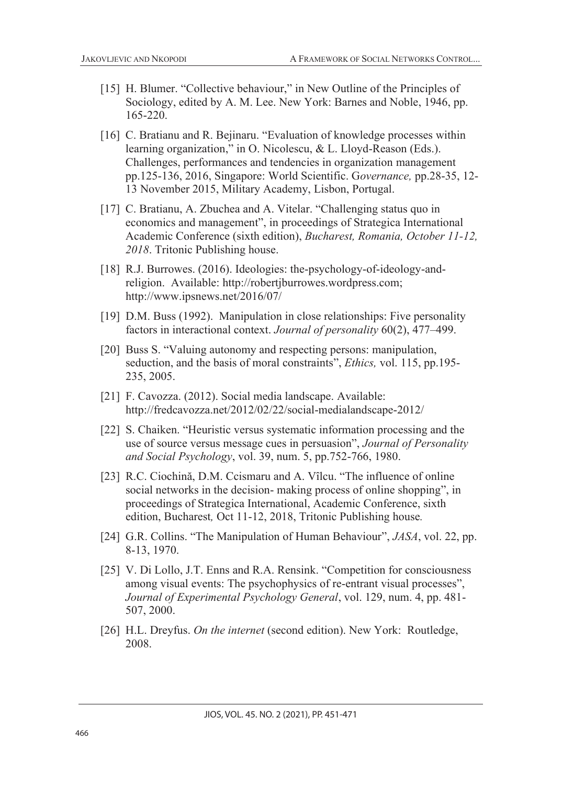- [15] H. Blumer. "Collective behaviour," in New Outline of the Principles of Sociology, edited by A. M. Lee. New York: Barnes and Noble, 1946, pp. 165-220.
- [16] C. Bratianu and R. Bejinaru. "Evaluation of knowledge processes within learning organization," in O. Nicolescu, & L. Lloyd-Reason (Eds.). Challenges, performances and tendencies in organization management pp.125-136, 2016, Singapore: World Scientific. G*overnance,* pp.28-35, 12- 13 November 2015, Military Academy, Lisbon, Portugal.
- [17] C. Bratianu, A. Zbuchea and A. Vitelar. "Challenging status quo in economics and management", in proceedings of Strategica International Academic Conference (sixth edition), *Bucharest, Romania, October 11-12, 2018*. Tritonic Publishing house.
- [18] R.J. Burrowes. (2016). Ideologies: the-psychology-of-ideology-andreligion. Available: http://robertjburrowes.wordpress.com; http://www.ipsnews.net/2016/07/
- [19] D.M. Buss (1992). Manipulation in close relationships: Five personality factors in interactional context. *Journal of personality* 60(2), 477–499.
- [20] Buss S. "Valuing autonomy and respecting persons: manipulation, seduction, and the basis of moral constraints", *Ethics,* vol. 115, pp.195- 235, 2005.
- [21] F. Cavozza. (2012). Social media landscape. Available: http://fredcavozza.net/2012/02/22/social-medialandscape-2012/
- [22] S. Chaiken. "Heuristic versus systematic information processing and the use of source versus message cues in persuasion", *Journal of Personality and Social Psychology*, vol. 39, num. 5, pp.752-766, 1980.
- [23] R.C. Ciochină, D.M. Ccismaru and A. Vîlcu. "The influence of online social networks in the decision- making process of online shopping", in proceedings of Strategica International, Academic Conference, sixth edition, Bucharest*,* Oct 11-12, 2018, Tritonic Publishing house*.*
- [24] G.R. Collins. "The Manipulation of Human Behaviour", *JASA*, vol. 22, pp. 8-13, 1970.
- [25] V. Di Lollo, J.T. Enns and R.A. Rensink. "Competition for consciousness among visual events: The psychophysics of re-entrant visual processes", *Journal of Experimental Psychology General*, vol. 129, num. 4, pp. 481- 507, 2000.
- [26] H.L. Dreyfus. *On the internet* (second edition). New York: Routledge, 2008.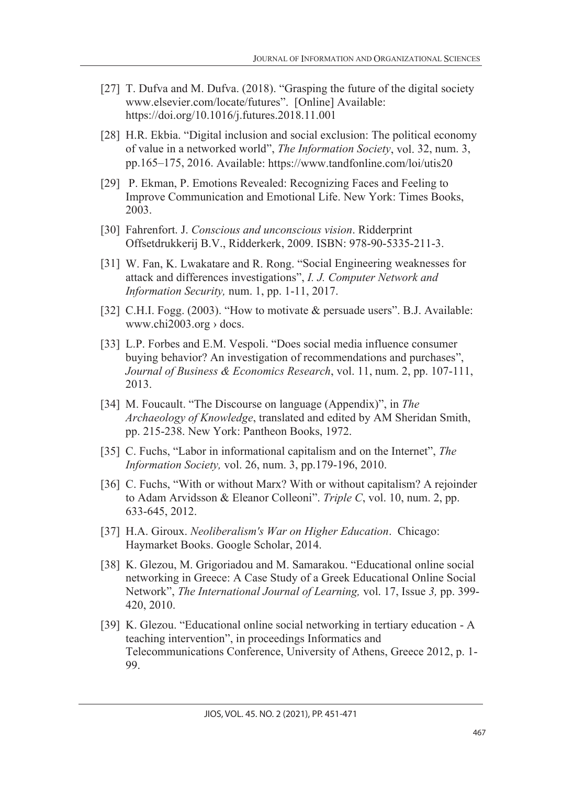- [27] T. Dufva and M. Dufva. (2018). "Grasping the future of the digital society www.elsevier.com/locate/futures". [Online] Available: https://doi.org/10.1016/j.futures.2018.11.001
- [28] H.R. Ekbia. "Digital inclusion and social exclusion: The political economy of value in a networked world", *The Information Society*, vol. 32, num. 3, pp.165–175, 2016. Available: https://www.tandfonline.com/loi/utis20
- [29] P. Ekman, P. Emotions Revealed: Recognizing Faces and Feeling to Improve Communication and Emotional Life. New York: Times Books, 2003.
- [30] Fahrenfort. J. *Conscious and unconscious vision*. Ridderprint Offsetdrukkerij B.V., Ridderkerk, 2009. ISBN: 978-90-5335-211-3.
- [31] W. Fan, K. Lwakatare and R. Rong. "Social Engineering weaknesses for attack and differences investigations", *I. J. Computer Network and Information Security,* num. 1, pp. 1-11, 2017.
- [32] C.H.I. Fogg. (2003). "How to motivate & persuade users". B.J. Available: www.chi2003.org  $\rightarrow$  docs.
- [33] L.P. Forbes and E.M. Vespoli. "Does social media influence consumer buying behavior? An investigation of recommendations and purchases", *Journal of Business & Economics Research*, vol. 11, num. 2, pp. 107-111, 2013.
- [34] M. Foucault. "The Discourse on language (Appendix)", in *The Archaeology of Knowledge*, translated and edited by AM Sheridan Smith, pp. 215-238. New York: Pantheon Books, 1972.
- [35] C. Fuchs, "Labor in informational capitalism and on the Internet", *The Information Society,* vol. 26, num. 3, pp.179-196, 2010.
- [36] C. Fuchs, "With or without Marx? With or without capitalism? A rejoinder to Adam Arvidsson & Eleanor Colleoni". *Triple C*, vol. 10, num. 2, pp. 633-645, 2012.
- [37] H.A. Giroux. *Neoliberalism's War on Higher Education*. Chicago: Haymarket Books. Google Scholar, 2014.
- [38] K. Glezou, M. Grigoriadou and M. Samarakou. "Educational online social networking in Greece: A Case Study of a Greek Educational Online Social Network", *The International Journal of Learning,* vol. 17, Issue *3,* pp. 399- 420, 2010.
- [39] K. Glezou. "Educational online social networking in tertiary education A teaching intervention", in proceedings Informatics and Telecommunications Conference, University of Athens, Greece 2012, p. 1- 99.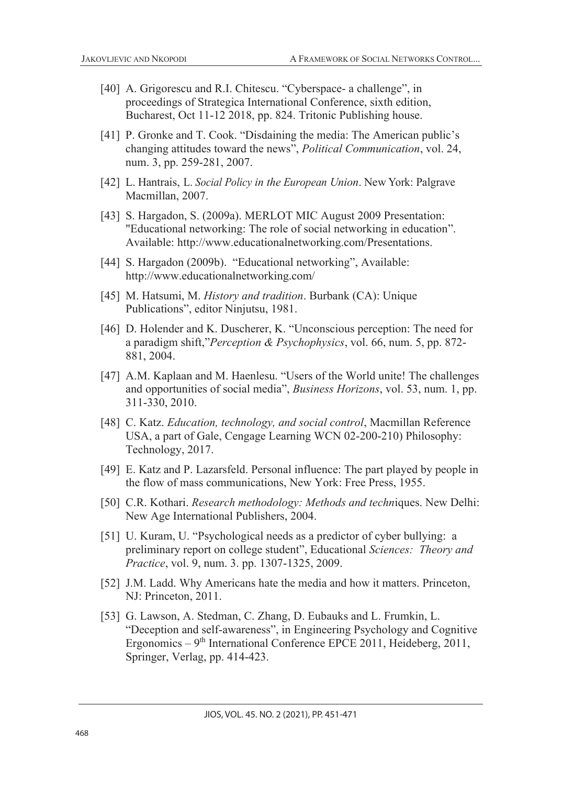- [40] A. Grigorescu and R.I. Chitescu. "Cyberspace- a challenge", in proceedings of Strategica International Conference, sixth edition, Bucharest, Oct 11-12 2018, pp. 824. Tritonic Publishing house.
- [41] P. Gronke and T. Cook. "Disdaining the media: The American public's changing attitudes toward the news", *Political Communication*, vol. 24, num. 3, pp. 259-281, 2007.
- [42] L. Hantrais, L. *Social Policy in the European Union*. New York: Palgrave Macmillan, 2007.
- [43] S. Hargadon, S. (2009a). MERLOT MIC August 2009 Presentation: "Educational networking: The role of social networking in education". Available: http://www.educationalnetworking.com/Presentations.
- [44] S. Hargadon (2009b). "Educational networking", Available: http://www.educationalnetworking.com/
- [45] M. Hatsumi, M. *History and tradition*. Burbank (CA): Unique Publications", editor Ninjutsu, 1981.
- [46] D. Holender and K. Duscherer, K. "Unconscious perception: The need for a paradigm shift,"*Perception & Psychophysics*, vol. 66, num. 5, pp. 872- 881, 2004.
- [47] A.M. Kaplaan and M. Haenlesu. "Users of the World unite! The challenges and opportunities of social media", *Business Horizons*, vol. 53, num. 1, pp. 311-330, 2010.
- [48] C. Katz. *Education, technology, and social control*, Macmillan Reference USA, a part of Gale, Cengage Learning WCN 02-200-210) Philosophy: Technology, 2017.
- [49] E. Katz and P. Lazarsfeld. Personal influence: The part played by people in the flow of mass communications, New York: Free Press, 1955.
- [50] C.R. Kothari. *Research methodology: Methods and techn*iques. New Delhi: New Age International Publishers, 2004.
- [51] U. Kuram, U. "Psychological needs as a predictor of cyber bullying: a preliminary report on college student", Educational *Sciences: Theory and Practice*, vol. 9, num. 3. pp. 1307-1325, 2009.
- [52] J.M. Ladd. Why Americans hate the media and how it matters. Princeton, NJ: Princeton, 2011.
- [53] G. Lawson, A. Stedman, C. Zhang, D. Eubauks and L. Frumkin, L. "Deception and self-awareness", in Engineering Psychology and Cognitive Ergonomics –  $9<sup>th</sup>$  International Conference EPCE 2011, Heideberg, 2011, Springer, Verlag, pp. 414-423.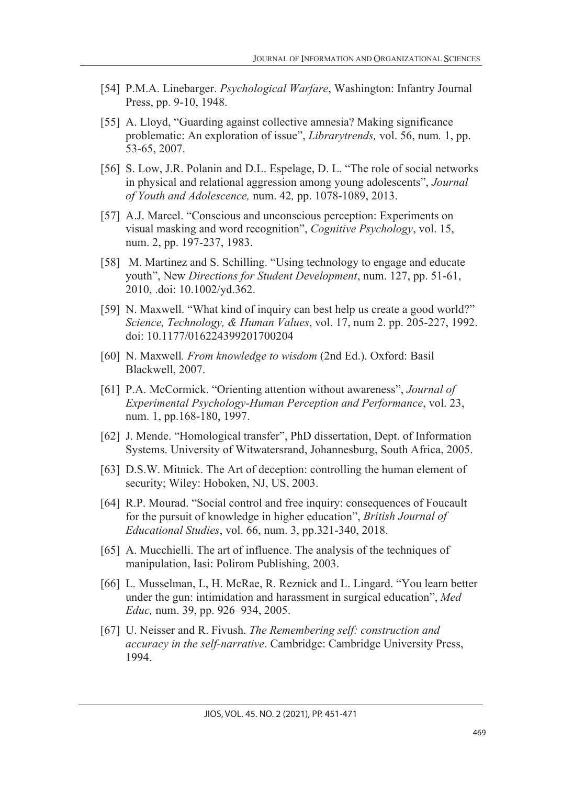- [54] P.M.A. Linebarger. *Psychological Warfare*, Washington: Infantry Journal Press, pp. 9-10, 1948.
- [55] A. Lloyd, "Guarding against collective amnesia? Making significance problematic: An exploration of issue", *Librarytrends,* vol. 56, num*.* 1, pp. 53-65, 2007.
- [56] S. Low, J.R. Polanin and D.L. Espelage, D. L. "The role of social networks in physical and relational aggression among young adolescents", *Journal of Youth and Adolescence,* num. 42*,* pp. 1078-1089, 2013.
- [57] A.J. Marcel. "Conscious and unconscious perception: Experiments on visual masking and word recognition", *Cognitive Psychology*, vol. 15, num. 2, pp. 197-237, 1983.
- [58] M. Martinez and S. Schilling. "Using technology to engage and educate youth", New *Directions for Student Development*, num. 127, pp. 51-61, 2010, .doi: 10.1002/yd.362.
- [59] N. Maxwell. "What kind of inquiry can best help us create a good world?" *Science, Technology, & Human Values*, vol. 17, num 2. pp. 205-227, 1992. doi: 10.1177/016224399201700204
- [60] N. Maxwell*. From knowledge to wisdom* (2nd Ed.). Oxford: Basil Blackwell, 2007.
- [61] P.A. McCormick. "Orienting attention without awareness", *Journal of Experimental Psychology-Human Perception and Performance*, vol. 23, num. 1, pp.168-180, 1997.
- [62] J. Mende. "Homological transfer", PhD dissertation, Dept. of Information Systems. University of Witwatersrand, Johannesburg, South Africa, 2005.
- [63] D.S.W. Mitnick. The Art of deception: controlling the human element of security; Wiley: Hoboken, NJ, US, 2003.
- [64] R.P. Mourad. "Social control and free inquiry: consequences of Foucault for the pursuit of knowledge in higher education", *British Journal of Educational Studies*, vol. 66, num. 3, pp.321-340, 2018.
- [65] A. Mucchielli. The art of influence. The analysis of the techniques of manipulation, Iasi: Polirom Publishing, 2003.
- [66] L. Musselman, L, H. McRae, R. Reznick and L. Lingard. "You learn better under the gun: intimidation and harassment in surgical education", *Med Educ,* num. 39, pp. 926–934, 2005.
- [67] U. Neisser and R. Fivush. *The Remembering self: construction and accuracy in the self-narrative*. Cambridge: Cambridge University Press, 1994.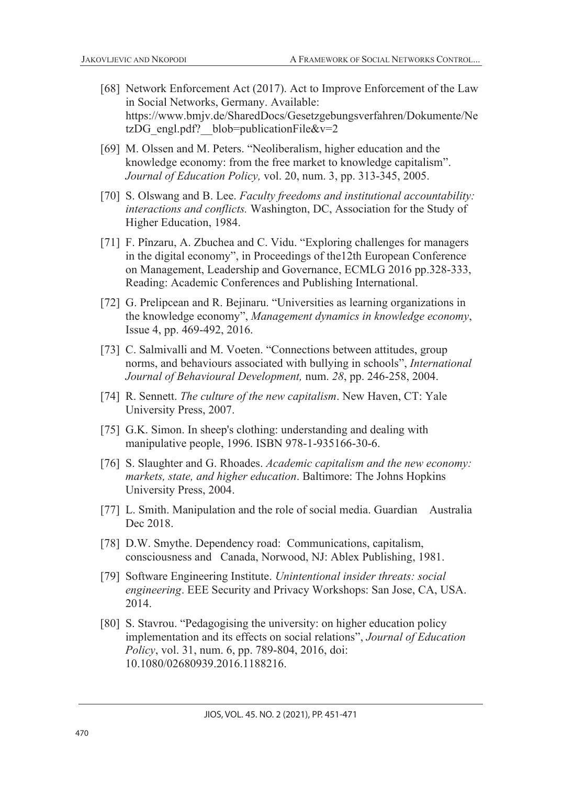- [68] Network Enforcement Act (2017). Act to Improve Enforcement of the Law in Social Networks, Germany. Available: https://www.bmjv.de/SharedDocs/Gesetzgebungsverfahren/Dokumente/Ne tzDG\_engl.pdf? blob=publicationFile&v=2
- [69] M. Olssen and M. Peters. "Neoliberalism, higher education and the knowledge economy: from the free market to knowledge capitalism". *Journal of Education Policy,* vol. 20, num. 3, pp. 313-345, 2005.
- [70] S. Olswang and B. Lee. *Faculty freedoms and institutional accountability: interactions and conflicts.* Washington, DC, Association for the Study of Higher Education, 1984.
- [71] F. Pînzaru, A. Zbuchea and C. Vidu. "Exploring challenges for managers in the digital economy", in Proceedings of the12th European Conference on Management, Leadership and Governance, ECMLG 2016 pp.328-333, Reading: Academic Conferences and Publishing International.
- [72] G. Prelipcean and R. Bejinaru. "Universities as learning organizations in the knowledge economy", *Management dynamics in knowledge economy*, Issue 4, pp. 469-492, 2016.
- [73] C. Salmivalli and M. Voeten. "Connections between attitudes, group norms, and behaviours associated with bullying in schools", *International Journal of Behavioural Development,* num. *28*, pp. 246-258, 2004.
- [74] R. Sennett. *The culture of the new capitalism*. New Haven, CT: Yale University Press, 2007.
- [75] G.K. Simon. In sheep's clothing: understanding and dealing with manipulative people, 1996. ISBN 978-1-935166-30-6.
- [76] S. Slaughter and G. Rhoades. *Academic capitalism and the new economy: markets, state, and higher education*. Baltimore: The Johns Hopkins University Press, 2004.
- [77] L. Smith. Manipulation and the role of social media. Guardian Australia Dec 2018.
- [78] D.W. Smythe. Dependency road: Communications, capitalism, consciousness and Canada, Norwood, NJ: Ablex Publishing, 1981.
- [79] Software Engineering Institute. *Unintentional insider threats: social engineering*. EEE Security and Privacy Workshops: San Jose, CA, USA. 2014.
- [80] S. Stavrou. "Pedagogising the university: on higher education policy implementation and its effects on social relations", *Journal of Education Policy*, vol. 31, num. 6, pp. 789-804, 2016, doi: 10.1080/02680939.2016.1188216.